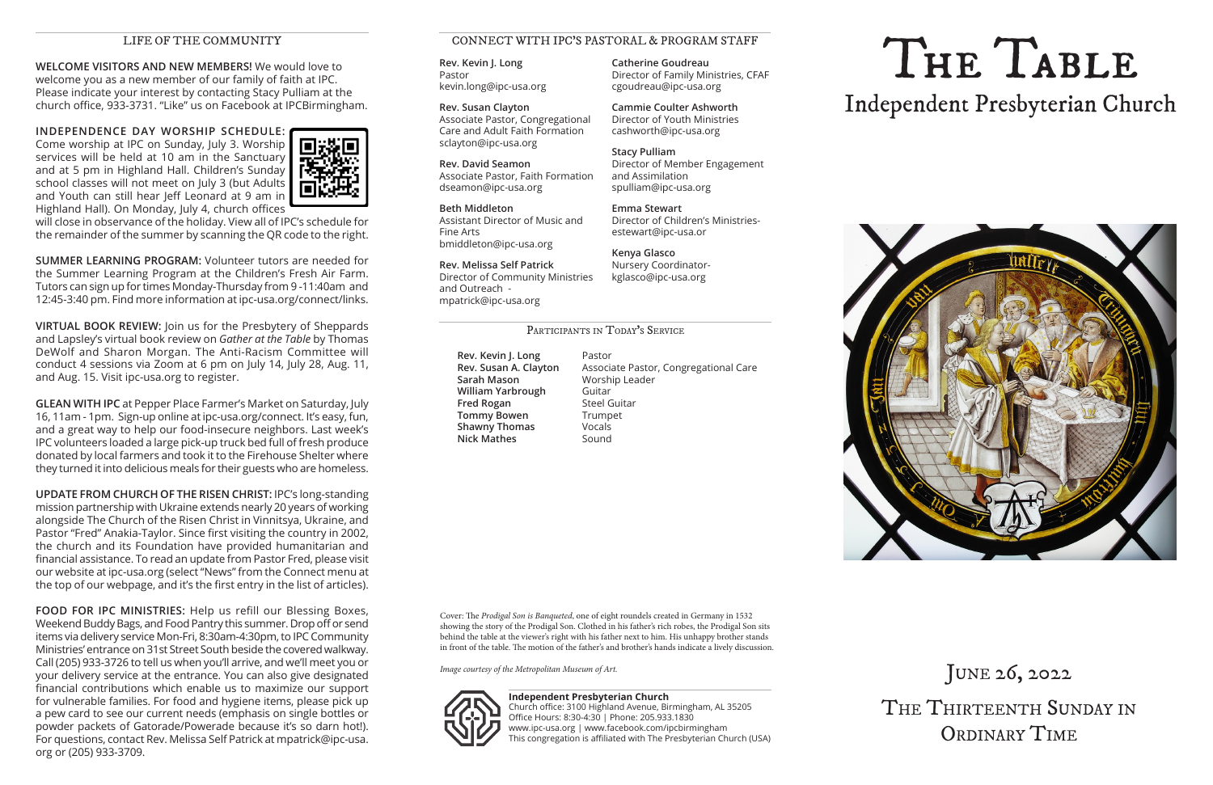**WELCOME VISITORS AND NEW MEMBERS!** We would love to welcome you as a new member of our family of faith at IPC. Please indicate your interest by contacting Stacy Pulliam at the church office, 933-3731. "Like" us on Facebook at IPCBirmingham.

**INDEPENDENCE DAY WORSHIP SCHEDULE:** Come worship at IPC on Sunday, July 3. Worship services will be held at 10 am in the Sanctuary and at 5 pm in Highland Hall. Children's Sunday school classes will not meet on July 3 (but Adults and Youth can still hear Jeff Leonard at 9 am in Highland Hall). On Monday, July 4, church offices



will close in observance of the holiday. View all of IPC's schedule for the remainder of the summer by scanning the QR code to the right.

**SUMMER LEARNING PROGRAM:** Volunteer tutors are needed for the Summer Learning Program at the Children's Fresh Air Farm. Tutors can sign up for times Monday-Thursday from 9 -11:40am and 12:45-3:40 pm. Find more information at ipc-usa.org/connect/links.

**VIRTUAL BOOK REVIEW:** Join us for the Presbytery of Sheppards and Lapsley's virtual book review on *Gather at the Table* by Thomas DeWolf and Sharon Morgan. The Anti-Racism Committee will conduct 4 sessions via Zoom at 6 pm on July 14, July 28, Aug. 11, and Aug. 15. Visit ipc-usa.org to register.

**GLEAN WITH IPC** at Pepper Place Farmer's Market on Saturday, July 16, 11am - 1pm. Sign-up online at ipc-usa.org/connect. It's easy, fun, and a great way to help our food-insecure neighbors. Last week's IPC volunteers loaded a large pick-up truck bed full of fresh produce donated by local farmers and took it to the Firehouse Shelter where they turned it into delicious meals for their guests who are homeless.

# LIFE OF THE COMMUNITY<br>ORS AND NEW MEMBERS! We would love to Rev. Kevin J. Long Catherine Goudreau<br>Pastor Chamily Ministries CEAF Independent Presbyterian Church



JUNE 26, 2022 THE THIRTEENTH SUNDAY IN ORDINARY TIME

**Rev. Kevin J. Long** Pastor **Sarah Mason** Worship Leader **William Yarbrough** Guitar **Fred Rogan Steel Guitar Tommy Bowen** Trumpet **Shawny Thomas** Vocals **Nick Mathes** Sound

**Rev. Susan A. Clayton** Associate Pastor, Congregational Care

**UPDATE FROM CHURCH OF THE RISEN CHRIST:** IPC's long-standing mission partnership with Ukraine extends nearly 20 years of working alongside The Church of the Risen Christ in Vinnitsya, Ukraine, and Pastor "Fred" Anakia-Taylor. Since first visiting the country in 2002, the church and its Foundation have provided humanitarian and financial assistance. To read an update from Pastor Fred, please visit our website at ipc-usa.org (select "News" from the Connect menu at the top of our webpage, and it's the first entry in the list of articles).

**FOOD FOR IPC MINISTRIES:** Help us refill our Blessing Boxes, Weekend Buddy Bags, and Food Pantry this summer. Drop off or send items via delivery service Mon-Fri, 8:30am-4:30pm, to IPC Community Ministries' entrance on 31st Street South beside the covered walkway. Call (205) 933-3726 to tell us when you'll arrive, and we'll meet you or your delivery service at the entrance. You can also give designated financial contributions which enable us to maximize our support for vulnerable families. For food and hygiene items, please pick up a pew card to see our current needs (emphasis on single bottles or powder packets of Gatorade/Powerade because it's so darn hot!). For questions, contact Rev. Melissa Self Patrick at mpatrick@ipc-usa. org or (205) 933-3709.

**Rev. Kevin J. Long** Pastor kevin.long@ipc-usa.org

**Rev. Susan Clayton** Associate Pastor, Congregational Care and Adult Faith Formation sclayton@ipc-usa.org

**Rev. David Seamon** Associate Pastor, Faith Formation dseamon@ipc-usa.org

**Beth Middleton** Assistant Director of Music and Fine Arts bmiddleton@ipc-usa.org

**Rev. Melissa Self Patrick** Director of Community Ministries and Outreach mpatrick@ipc-usa.org

**Catherine Goudreau**

Director of Family Ministries, CFAF

cgoudreau@ipc-usa.org

**Cammie Coulter Ashworth** Director of Youth Ministries cashworth@ipc-usa.org

**Stacy Pulliam**

Director of Member Engagement

and Assimilation spulliam@ipc-usa.org

**Emma Stewart**

Director of Children's Ministries-

PARTICIPANTS IN TODAY'S SERVICE

estewart@ipc-usa.or

**Kenya Glasco**

Nursery Coordinatorkglasco@ipc-usa.org

#### CONNECT WITH IPC'S PASTORAL & PROGRAM STAFF

**Independent Presbyterian Church** Church office: 3100 Highland Avenue, Birmingham, AL 35205 Office Hours: 8:30-4:30 | Phone: 205.933.1830 www.ipc-usa.org | www.facebook.com/ipcbirmingham This congregation is affiliated with The Presbyterian Church (USA)

Cover: The *Prodigal Son is Banqueted*, one of eight roundels created in Germany in 1532 showing the story of the Prodigal Son. Clothed in his father's rich robes, the Prodigal Son sits behind the table at the viewer's right with his father next to him. His unhappy brother stands in front of the table. The motion of the father's and brother's hands indicate a lively discussion.

*Image courtesy of the Metropolitan Museum of Art.*